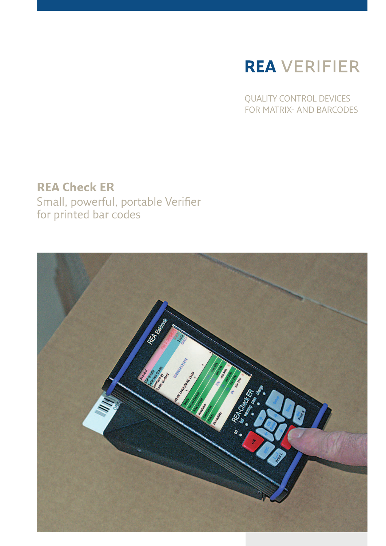# **REA** VERIFIER

QUALITY CONTROL DEVICES FOR MATRIX- AND BARCODES

### **REA Check ER**

Small, powerful, portable Verifier for printed bar codes

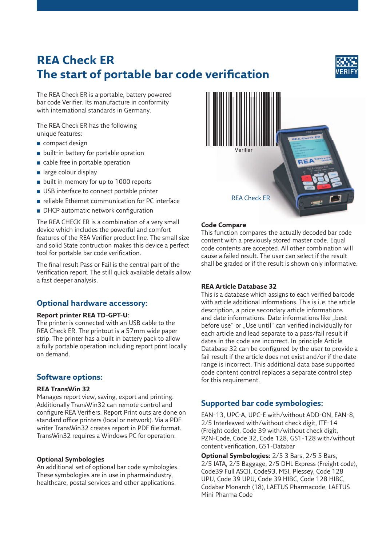## **REA Check ER The start of portable bar code verification**



The REA Check ER is a portable, battery powered bar code Verifier. Its manufacture in conformity with international standards in Germany.

The REA Check ER has the following unique features:

- compact design
- built-in battery for portable opration
- cable free in portable operation
- large colour display
- built in memory for up to 1000 reports
- USB interface to connect portable printer
- reliable Ethernet communication for PC interface
- DHCP automatic network configuration

The REA CHECK ER is a combination of a very small device which includes the powerful and comfort features of the REA Verifier product line. The small size and solid State contruction makes this device a perfect tool for portable bar code verification.

The final result Pass or Fail is the central part of the Verification report. The still quick available details allow a fast deeper analysis.

#### **Optional hardware accessory:**

#### **Report printer REA TD-GPT-U:**

The printer is connected with an USB cable to the REA Check ER. The printout is a 57mm wide paper strip. The printer has a built in battery pack to allow a fully portable operation including report print locally on demand.

#### **Software options:**

#### **REA TransWin 32**

Manages report view, saving, export and printing. Additionally TransWin32 can remote control and configure REA Verifiers. Report Print outs are done on standard office printers (local or network). Via a PDF writer TransWin32 creates report in PDF file format. TransWin32 requires a Windows PC for operation.

#### **Optional Symbologies**

An additional set of optional bar code symbologies. These symbologies are in use in pharmaindustry, healthcare, postal services and other applications.



#### **Code Compare**

This function compares the actually decoded bar code content with a previously stored master code. Equal code contents are accepted. All other combination will cause a failed result. The user can select if the result shall be graded or if the result is shown only informative.

#### **REA Article Database 32**

This is a database which assigns to each verified barcode with article additional informations. This is i. e. the article description, a price secondary article informations and date informations. Date informations like "best before use" or "Use until" can verified individually for each article and lead separate to a pass/fail result if dates in the code are incorrect. In principle Article Database 32 can be configured by the user to provide a fail result if the article does not exist and/or if the date range is incorrect. This additional data base supported code content control replaces a separate control step for this requirement.

#### **Supported bar code symbologies:**

EAN-13, UPC-A, UPC-E with/without ADD-ON, EAN-8, 2/5 Interleaved with/without check digit, ITF-14 (Freight code), Code 39 with/without check digit, PZN-Code, Code 32, Code 128, GS1-128 with/without content verification, GS1-Databar

**Optional Symbologies:** 2/5 3 Bars, 2/5 5 Bars, 2/5 IATA, 2/5 Baggage, 2/5 DHL Express (Freight code), Code39 Full ASCII, Code93, MSI, Plessey, Code 128 UPU, Code 39 UPU, Code 39 HIBC, Code 128 HIBC, Codabar Monarch (18), LAETUS Pharmacode, LAETUS Mini Pharma Code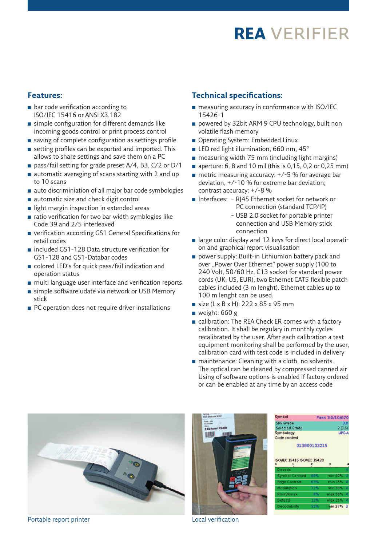## **REA** VERIFIER

#### **Features:**

- bar code verification according to ISO/IEC 15416 or ANSI X3.182
- simple configuration for different demands like incoming goods control or print process control
- $\blacksquare$  saving of complete configuration as settings profile
- setting profiles can be exported and imported. This allows to share settings and save them on a PC
- pass/fail setting for grade preset A/4, B3, C/2 or D/1
- automatic averaging of scans starting with 2 and up to 10 scans
- auto discriminiation of all major bar code symbologies
- automatic size and check digit control
- light margin inspection in extended areas
- ratio verification for two bar width symblogies like Code 39 and 2/5 interleaved
- verification according GS1 General Specifications for retail codes
- included GS1-128 Data structure verification for GS1-128 and GS1-Databar codes
- colored LED's for quick pass/fail indication and operation status
- multi language user interface and verification reports
- simple software udate via network or USB Memory stick
- PC operation does not require driver installations

#### **Technical specifications:**

- measuring accuracy in conformance with ISO/IEC 15426-1
- powered by 32bit ARM 9 CPU technology, built non volatile flash memory
- Operating System: Embedded Linux
- LED red light illumination, 660 nm, 45°
- measuring width 75 mm (including light margins)
- aperture: 6, 8 and 10 mil (this is 0,15, 0,2 or 0,25 mm)
- $\blacksquare$  metric measuring accuracy:  $+/-5$  % for average bar deviation, +/-10 % for extreme bar deviation; contrast accuracy: +/-8 %
- Interfaces: RJ45 Ethernet socket for network or PC connection (standard TCP/IP)
	- USB 2.0 socket for portable printer connection and USB Memory stick connection
- large color display and 12 keys for direct local operation and graphical report visualisation
- power supply: Built-in LithiumIon battery pack and over "Power Over Ethernet" power supply (100 to 240 Volt, 50/60 Hz, C13 socket for standard power cords (UK, US, EUR), two Ethernet CAT5 flexible patch cables included (3 m lenght). Ethernet cables up to 100 m lenght can be used.
- $\blacksquare$  size (L x B x H): 222 x 85 x 95 mm
- $\blacksquare$  weight: 660 g
- calibration: The REA Check ER comes with a factory calibration. It shall be regulary in monthly cycles recalibrated by the user. After each calibration a test equipment monitoring shall be performed by the user, calibration card with test code is included in delivery
- maintenance: Cleaning with a cloth, no solvents. The optical can be cleaned by compressed canned air Using of software options is enabled if factory ordered or can be enabled at any time by an access code

Symbol



Portable report printer and the contraction of the Local verification



| <b>SRP Grade</b>                   |              |                        | 3.0 |
|------------------------------------|--------------|------------------------|-----|
| <b>Selected Grade</b><br>Symbology |              | 2(1.5)<br><b>UPC-A</b> |     |
|                                    |              |                        |     |
|                                    | 013800103215 |                        |     |
|                                    |              |                        |     |
|                                    |              |                        |     |
|                                    |              |                        |     |
| <b>ISO/IEC 15416 ISO/IEC 15420</b> |              |                        |     |
| ۰                                  |              |                        |     |
| Decode                             |              |                        | ۵   |
| Symbol Contrast                    | 88%          | min 40%                | đ.  |
| <b>Edge Contrast</b>               | 63%          | min 15%                | ø   |
| Modulation                         | 72%          | min 50%                | Δ   |
| Rmin/Rmax                          | 4%           | max 50%                | A   |
| Defects                            | 12%          | max 25%                | ð.  |

Pace 3000670